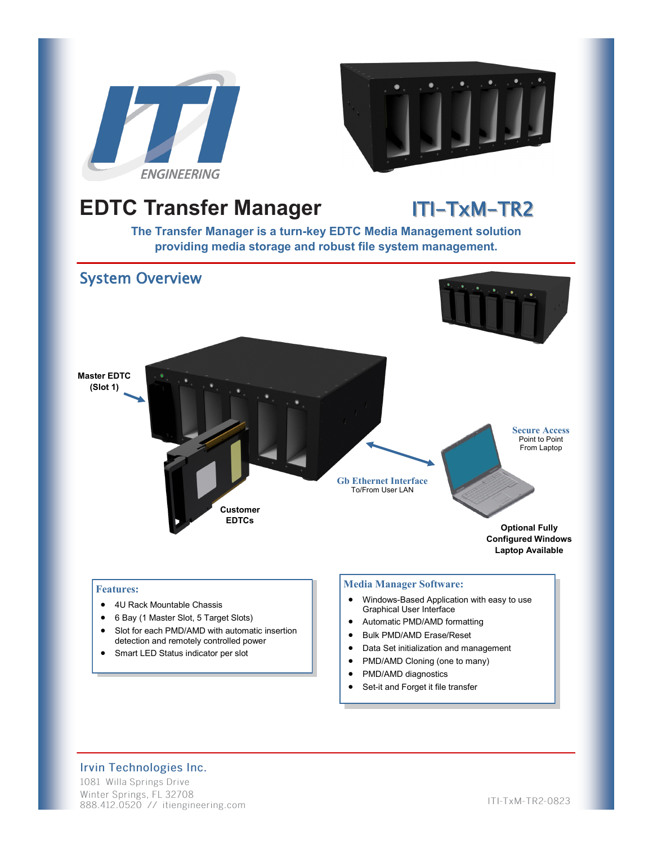



# **EDTC Transfer Manager ITI-TxM-TR2**

**The Transfer Manager is a turn-key EDTC Media Management solution providing media storage and robust file system management.** 



• Set-it and Forget it file transfer

### Irvin Technologies Inc.

1081 Willa Springs Drive Winter Springs, FL 32708 888.412.0520 // itiengineering.com